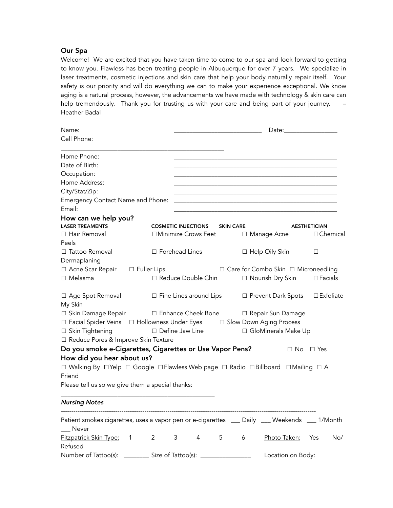## Our Spa

Welcome! We are excited that you have taken time to come to our spa and look forward to getting to know you. Flawless has been treating people in Albuquerque for over 7 years. We specialize in laser treatments, cosmetic injections and skin care that help your body naturally repair itself. Your safety is our priority and will do everything we can to make your experience exceptional. We know aging is a natural process, however, the advancements we have made with technology & skin care can help tremendously. Thank you for trusting us with your care and being part of your journey. -Heather Badal

| Name:                                                                                                | Date:                                 |                               |                  |   |                                       |                     |  |  |
|------------------------------------------------------------------------------------------------------|---------------------------------------|-------------------------------|------------------|---|---------------------------------------|---------------------|--|--|
| Cell Phone:                                                                                          |                                       |                               |                  |   |                                       |                     |  |  |
| Home Phone:                                                                                          |                                       |                               |                  |   |                                       |                     |  |  |
| Date of Birth:                                                                                       |                                       |                               |                  |   |                                       |                     |  |  |
| Occupation:                                                                                          |                                       |                               |                  |   |                                       |                     |  |  |
| Home Address:                                                                                        |                                       |                               |                  |   |                                       |                     |  |  |
| City/Stat/Zip:                                                                                       |                                       |                               |                  |   |                                       |                     |  |  |
| Emergency Contact Name and Phone:                                                                    |                                       |                               |                  |   |                                       |                     |  |  |
| Email:                                                                                               |                                       |                               |                  |   |                                       |                     |  |  |
| How can we help you?                                                                                 |                                       |                               |                  |   |                                       |                     |  |  |
| <b>LASER TREAMENTS</b>                                                                               |                                       | <b>COSMETIC INJECTIONS</b>    | <b>SKIN CARE</b> |   |                                       | <b>AESTHETICIAN</b> |  |  |
| □ Hair Removal                                                                                       |                                       | □ Minimize Crows Feet         |                  |   | □ Manage Acne                         | $\Box$ Chemical     |  |  |
| Peels                                                                                                |                                       |                               |                  |   |                                       |                     |  |  |
| □ Tattoo Removal                                                                                     |                                       | □ Forehead Lines              |                  |   | □ Help Oily Skin                      | $\Box$              |  |  |
| Dermaplaning                                                                                         |                                       |                               |                  |   |                                       |                     |  |  |
| □ Acne Scar Repair                                                                                   | $\Box$ Fuller Lips                    |                               |                  |   | □ Care for Combo Skin □ Microneedling |                     |  |  |
| $\Box$ Melasma                                                                                       |                                       | □ Reduce Double Chin          |                  |   | □ Nourish Dry Skin                    | $\Box$ Facials      |  |  |
| □ Age Spot Removal<br>My Skin                                                                        |                                       | $\Box$ Fine Lines around Lips |                  |   | □ Prevent Dark Spots                  | $\square$ Exfoliate |  |  |
| □ Skin Damage Repair                                                                                 |                                       | □ Enhance Cheek Bone          |                  |   | □ Repair Sun Damage                   |                     |  |  |
| □ Facial Spider Veins □ Hollowness Under Eyes □ Slow Down Aging Process                              |                                       |                               |                  |   |                                       |                     |  |  |
| □ Skin Tightening                                                                                    |                                       | $\square$ Define Jaw Line     |                  |   | □ GloMinerals Make Up                 |                     |  |  |
| □ Reduce Pores & Improve Skin Texture                                                                |                                       |                               |                  |   |                                       |                     |  |  |
| Do you smoke e-Cigarettes, Cigarettes or Use Vapor Pens?                                             |                                       |                               |                  |   | $\Box$ No $\Box$ Yes                  |                     |  |  |
| How did you hear about us?                                                                           |                                       |                               |                  |   |                                       |                     |  |  |
| □ Walking By □ Yelp □ Google □ Flawless Web page □ Radio □ Billboard □ Mailing □ A                   |                                       |                               |                  |   |                                       |                     |  |  |
| Friend                                                                                               |                                       |                               |                  |   |                                       |                     |  |  |
| Please tell us so we give them a special thanks:                                                     |                                       |                               |                  |   |                                       |                     |  |  |
| <b>Nursing Notes</b>                                                                                 |                                       |                               |                  |   |                                       |                     |  |  |
|                                                                                                      |                                       |                               |                  |   |                                       |                     |  |  |
| Patient smokes cigarettes, uses a vapor pen or e-cigarettes __ Daily __ Weekends __ 1/Month<br>Never |                                       |                               |                  |   |                                       |                     |  |  |
| <b>Fitzpatrick Skin Type:</b><br>Refused                                                             | $\mathbf{2}^{\prime}$<br>$\mathbf{1}$ | 3<br>4                        | 5                | 6 | Photo Taken:                          | Yes<br>No/          |  |  |
| Number of Tattoo(s):                                                                                 | Size of Tattoo(s):                    |                               |                  |   | Location on Body:                     |                     |  |  |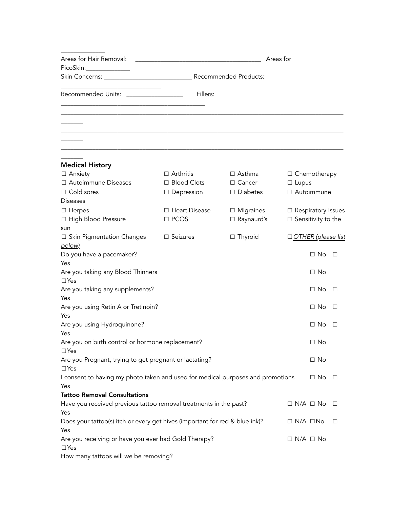| Areas for Hair Removal:<br>PicoSkin:                                                   | Areas for            |                   |                              |         |  |  |
|----------------------------------------------------------------------------------------|----------------------|-------------------|------------------------------|---------|--|--|
|                                                                                        |                      |                   |                              |         |  |  |
| Recommended Units: __________________                                                  | Fillers:             |                   |                              |         |  |  |
|                                                                                        |                      |                   |                              |         |  |  |
|                                                                                        |                      |                   |                              |         |  |  |
|                                                                                        |                      |                   |                              |         |  |  |
|                                                                                        |                      |                   |                              |         |  |  |
|                                                                                        |                      |                   |                              |         |  |  |
| <b>Medical History</b>                                                                 |                      |                   |                              |         |  |  |
| □ Anxiety                                                                              | $\Box$ Arthritis     | $\Box$ Asthma     | $\Box$ Chemotherapy          |         |  |  |
| □ Autoimmune Diseases                                                                  | □ Blood Clots        | $\Box$ Cancer     | $\Box$ Lupus                 |         |  |  |
| $\Box$ Cold sores                                                                      | $\Box$ Depression    | $\Box$ Diabetes   | □ Autoimmune                 |         |  |  |
| <b>Diseases</b>                                                                        |                      |                   |                              |         |  |  |
| $\Box$ Herpes                                                                          | $\Box$ Heart Disease | $\Box$ Migraines  | $\Box$ Respiratory Issues    |         |  |  |
| □ High Blood Pressure                                                                  | $\square$ PCOS       | $\Box$ Raynaurd's | $\square$ Sensitivity to the |         |  |  |
| sun                                                                                    |                      |                   |                              |         |  |  |
| $\Box$ Skin Pigmentation Changes                                                       | $\Box$ Seizures      | $\Box$ Thyroid    | $\Box$ OTHER (please list    |         |  |  |
| below)                                                                                 |                      |                   |                              |         |  |  |
| Do you have a pacemaker?                                                               |                      |                   | $\Box$ No                    | $\Box$  |  |  |
| Yes                                                                                    |                      |                   | $\Box$ No                    |         |  |  |
| Are you taking any Blood Thinners<br>$\Box$ Yes                                        |                      |                   |                              |         |  |  |
| Are you taking any supplements?                                                        |                      |                   | $\Box$ No                    | $\perp$ |  |  |
| Yes                                                                                    |                      |                   |                              |         |  |  |
| Are you using Retin A or Tretinoin?                                                    |                      |                   | □ No                         | $\perp$ |  |  |
| Yes                                                                                    |                      |                   |                              |         |  |  |
| Are you using Hydroquinone?                                                            |                      |                   | $\Box$ No                    | $\perp$ |  |  |
| Yes                                                                                    |                      |                   |                              |         |  |  |
| Are you on birth control or hormone replacement?                                       |                      |                   | $\Box$ No                    |         |  |  |
| $\Box$ Yes                                                                             |                      |                   |                              |         |  |  |
| Are you Pregnant, trying to get pregnant or lactating?                                 |                      |                   | $\Box$ No                    |         |  |  |
| $\Box$ Yes                                                                             |                      |                   | $\Box$ No                    | $\Box$  |  |  |
| I consent to having my photo taken and used for medical purposes and promotions<br>Yes |                      |                   |                              |         |  |  |
| <b>Tattoo Removal Consultations</b>                                                    |                      |                   |                              |         |  |  |
| Have you received previous tattoo removal treatments in the past?                      |                      |                   | $\Box$ N/A $\Box$ No $\Box$  |         |  |  |
| Yes                                                                                    |                      |                   |                              |         |  |  |
| Does your tattoo(s) itch or every get hives (important for red & blue ink)?            |                      |                   | $\Box$ N/A $\Box$ No         | $\Box$  |  |  |
| Yes                                                                                    |                      |                   |                              |         |  |  |
| Are you receiving or have you ever had Gold Therapy?                                   |                      |                   | $\Box$ N/A $\Box$ No         |         |  |  |
| $\Box$ Yes                                                                             |                      |                   |                              |         |  |  |
| How many tattoos will we be removing?                                                  |                      |                   |                              |         |  |  |